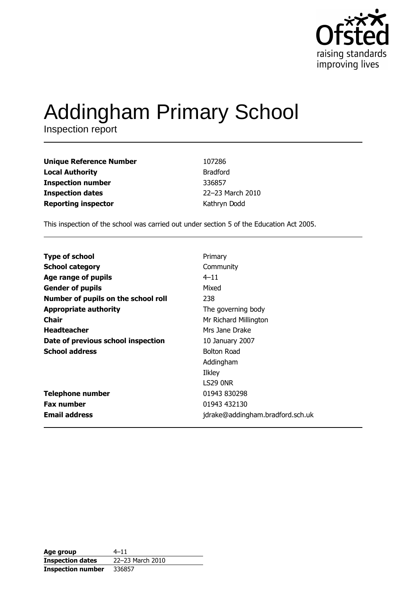

# **Addingham Primary School**

Inspection report

| <b>Unique Reference Number</b> | 107286           |
|--------------------------------|------------------|
| <b>Local Authority</b>         | <b>Bradford</b>  |
| <b>Inspection number</b>       | 336857           |
| <b>Inspection dates</b>        | 22-23 March 2010 |
| <b>Reporting inspector</b>     | Kathryn Dodd     |

This inspection of the school was carried out under section 5 of the Education Act 2005.

| <b>Type of school</b>               | Primary                          |
|-------------------------------------|----------------------------------|
| <b>School category</b>              | Community                        |
| Age range of pupils                 | $4 - 11$                         |
| <b>Gender of pupils</b>             | Mixed                            |
| Number of pupils on the school roll | 238                              |
| <b>Appropriate authority</b>        | The governing body               |
| Chair                               | Mr Richard Millington            |
| <b>Headteacher</b>                  | Mrs Jane Drake                   |
| Date of previous school inspection  | 10 January 2007                  |
| <b>School address</b>               | <b>Bolton Road</b>               |
|                                     | Addingham                        |
|                                     | Ilkley                           |
|                                     | LS29 ONR                         |
| <b>Telephone number</b>             | 01943 830298                     |
| <b>Fax number</b>                   | 01943 432130                     |
| <b>Email address</b>                | jdrake@addingham.bradford.sch.uk |

| Age group                | $4 - 11$         |
|--------------------------|------------------|
| <b>Inspection dates</b>  | 22-23 March 2010 |
| <b>Inspection number</b> | 336857           |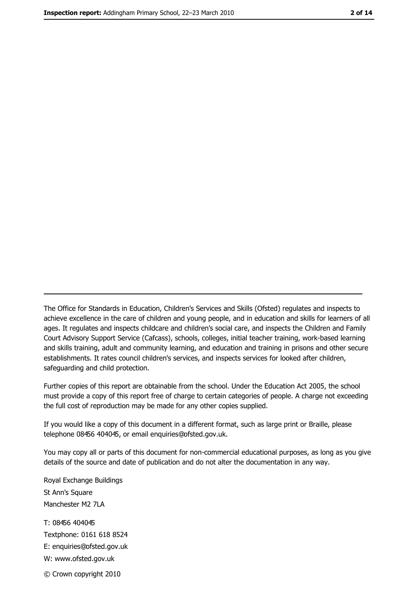The Office for Standards in Education, Children's Services and Skills (Ofsted) regulates and inspects to achieve excellence in the care of children and young people, and in education and skills for learners of all ages. It regulates and inspects childcare and children's social care, and inspects the Children and Family Court Advisory Support Service (Cafcass), schools, colleges, initial teacher training, work-based learning and skills training, adult and community learning, and education and training in prisons and other secure establishments. It rates council children's services, and inspects services for looked after children, safequarding and child protection.

Further copies of this report are obtainable from the school. Under the Education Act 2005, the school must provide a copy of this report free of charge to certain categories of people. A charge not exceeding the full cost of reproduction may be made for any other copies supplied.

If you would like a copy of this document in a different format, such as large print or Braille, please telephone 08456 404045, or email enquiries@ofsted.gov.uk.

You may copy all or parts of this document for non-commercial educational purposes, as long as you give details of the source and date of publication and do not alter the documentation in any way.

Royal Exchange Buildings St Ann's Square Manchester M2 7LA T: 08456 404045 Textphone: 0161 618 8524 E: enquiries@ofsted.gov.uk W: www.ofsted.gov.uk © Crown copyright 2010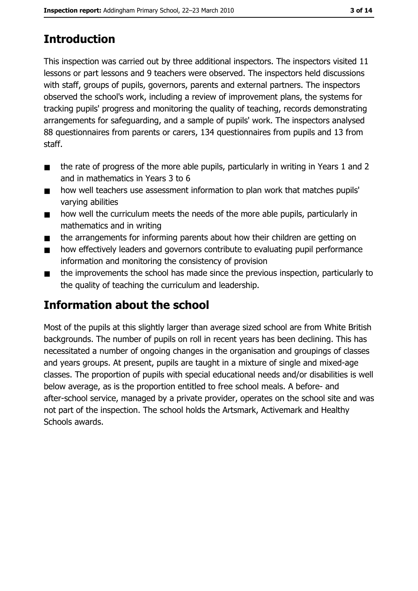# **Introduction**

This inspection was carried out by three additional inspectors. The inspectors visited 11 lessons or part lessons and 9 teachers were observed. The inspectors held discussions with staff, groups of pupils, governors, parents and external partners. The inspectors observed the school's work, including a review of improvement plans, the systems for tracking pupils' progress and monitoring the quality of teaching, records demonstrating arrangements for safeguarding, and a sample of pupils' work. The inspectors analysed 88 questionnaires from parents or carers, 134 questionnaires from pupils and 13 from staff.

- the rate of progress of the more able pupils, particularly in writing in Years 1 and 2  $\blacksquare$ and in mathematics in Years 3 to 6
- how well teachers use assessment information to plan work that matches pupils'  $\blacksquare$ varying abilities
- how well the curriculum meets the needs of the more able pupils, particularly in  $\blacksquare$ mathematics and in writing
- the arrangements for informing parents about how their children are getting on  $\blacksquare$
- how effectively leaders and governors contribute to evaluating pupil performance  $\blacksquare$ information and monitoring the consistency of provision
- the improvements the school has made since the previous inspection, particularly to  $\blacksquare$ the quality of teaching the curriculum and leadership.

# Information about the school

Most of the pupils at this slightly larger than average sized school are from White British backgrounds. The number of pupils on roll in recent years has been declining. This has necessitated a number of ongoing changes in the organisation and groupings of classes and years groups. At present, pupils are taught in a mixture of single and mixed-age classes. The proportion of pupils with special educational needs and/or disabilities is well below average, as is the proportion entitled to free school meals. A before- and after-school service, managed by a private provider, operates on the school site and was not part of the inspection. The school holds the Artsmark, Activemark and Healthy Schools awards.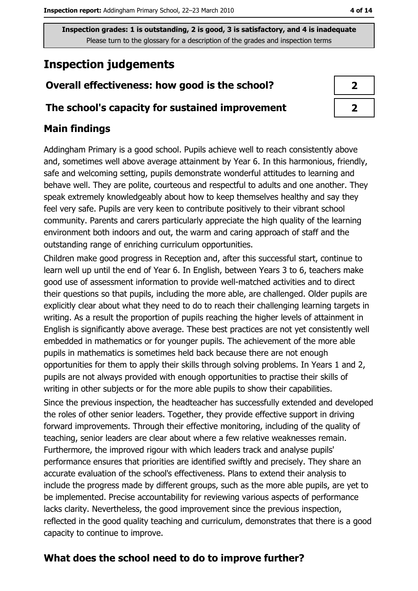## **Inspection judgements**

### Overall effectiveness: how good is the school?

#### The school's capacity for sustained improvement

#### **Main findings**

Addingham Primary is a good school. Pupils achieve well to reach consistently above and, sometimes well above average attainment by Year 6. In this harmonious, friendly, safe and welcoming setting, pupils demonstrate wonderful attitudes to learning and behave well. They are polite, courteous and respectful to adults and one another. They speak extremely knowledgeably about how to keep themselves healthy and say they feel very safe. Pupils are very keen to contribute positively to their vibrant school community. Parents and carers particularly appreciate the high quality of the learning environment both indoors and out, the warm and caring approach of staff and the outstanding range of enriching curriculum opportunities.

Children make good progress in Reception and, after this successful start, continue to learn well up until the end of Year 6. In English, between Years 3 to 6, teachers make good use of assessment information to provide well-matched activities and to direct their questions so that pupils, including the more able, are challenged. Older pupils are explicitly clear about what they need to do to reach their challenging learning targets in writing. As a result the proportion of pupils reaching the higher levels of attainment in English is significantly above average. These best practices are not yet consistently well embedded in mathematics or for younger pupils. The achievement of the more able pupils in mathematics is sometimes held back because there are not enough opportunities for them to apply their skills through solving problems. In Years 1 and 2, pupils are not always provided with enough opportunities to practise their skills of writing in other subjects or for the more able pupils to show their capabilities.

Since the previous inspection, the headteacher has successfully extended and developed the roles of other senior leaders. Together, they provide effective support in driving forward improvements. Through their effective monitoring, including of the quality of teaching, senior leaders are clear about where a few relative weaknesses remain. Furthermore, the improved rigour with which leaders track and analyse pupils' performance ensures that priorities are identified swiftly and precisely. They share an accurate evaluation of the school's effectiveness. Plans to extend their analysis to include the progress made by different groups, such as the more able pupils, are yet to be implemented. Precise accountability for reviewing various aspects of performance lacks clarity. Nevertheless, the good improvement since the previous inspection, reflected in the good quality teaching and curriculum, demonstrates that there is a good capacity to continue to improve.

## What does the school need to do to improve further?

 $\overline{2}$ 

4 of 14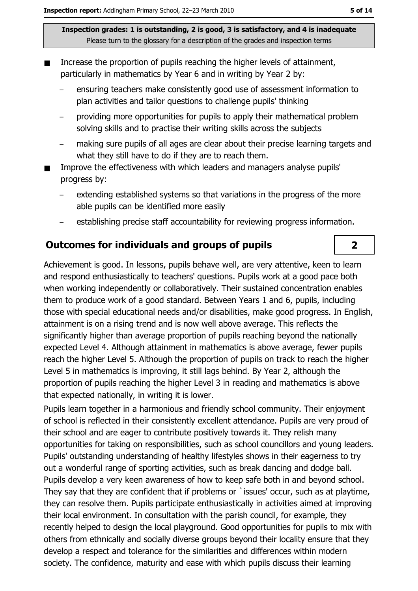- Increase the proportion of pupils reaching the higher levels of attainment, particularly in mathematics by Year 6 and in writing by Year 2 by:
	- ensuring teachers make consistently good use of assessment information to plan activities and tailor questions to challenge pupils' thinking
	- providing more opportunities for pupils to apply their mathematical problem solving skills and to practise their writing skills across the subjects
	- making sure pupils of all ages are clear about their precise learning targets and what they still have to do if they are to reach them.
- Improve the effectiveness with which leaders and managers analyse pupils' progress by:
	- extending established systems so that variations in the progress of the more able pupils can be identified more easily
	- establishing precise staff accountability for reviewing progress information.

#### **Outcomes for individuals and groups of pupils**

Achievement is good. In lessons, pupils behave well, are very attentive, keen to learn and respond enthusiastically to teachers' questions. Pupils work at a good pace both when working independently or collaboratively. Their sustained concentration enables them to produce work of a good standard. Between Years 1 and 6, pupils, including those with special educational needs and/or disabilities, make good progress. In English, attainment is on a rising trend and is now well above average. This reflects the significantly higher than average proportion of pupils reaching beyond the nationally expected Level 4. Although attainment in mathematics is above average, fewer pupils reach the higher Level 5. Although the proportion of pupils on track to reach the higher Level 5 in mathematics is improving, it still lags behind. By Year 2, although the proportion of pupils reaching the higher Level 3 in reading and mathematics is above that expected nationally, in writing it is lower.

Pupils learn together in a harmonious and friendly school community. Their enjoyment of school is reflected in their consistently excellent attendance. Pupils are very proud of their school and are eager to contribute positively towards it. They relish many opportunities for taking on responsibilities, such as school councillors and young leaders. Pupils' outstanding understanding of healthy lifestyles shows in their eagerness to try out a wonderful range of sporting activities, such as break dancing and dodge ball. Pupils develop a very keen awareness of how to keep safe both in and beyond school. They say that they are confident that if problems or `issues' occur, such as at playtime, they can resolve them. Pupils participate enthusiastically in activities aimed at improving their local environment. In consultation with the parish council, for example, they recently helped to design the local playground. Good opportunities for pupils to mix with others from ethnically and socially diverse groups beyond their locality ensure that they develop a respect and tolerance for the similarities and differences within modern society. The confidence, maturity and ease with which pupils discuss their learning

 $\overline{2}$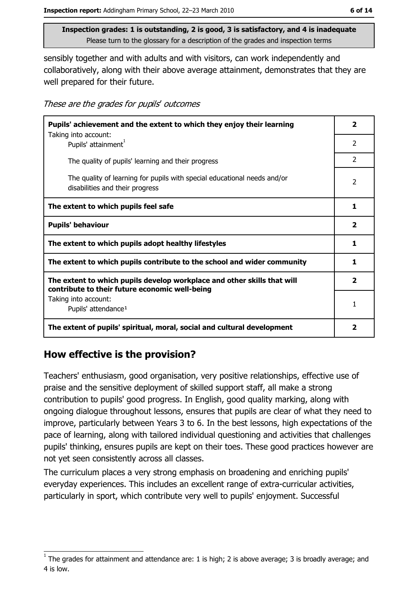sensibly together and with adults and with visitors, can work independently and collaboratively, along with their above average attainment, demonstrates that they are well prepared for their future.

These are the grades for pupils' outcomes

| Pupils' achievement and the extent to which they enjoy their learning                                                     |                          |
|---------------------------------------------------------------------------------------------------------------------------|--------------------------|
| Taking into account:<br>Pupils' attainment <sup>1</sup>                                                                   | $\overline{\phantom{a}}$ |
| The quality of pupils' learning and their progress                                                                        | $\overline{2}$           |
| The quality of learning for pupils with special educational needs and/or<br>disabilities and their progress               | $\overline{2}$           |
| The extent to which pupils feel safe                                                                                      |                          |
| <b>Pupils' behaviour</b>                                                                                                  |                          |
| The extent to which pupils adopt healthy lifestyles                                                                       |                          |
| The extent to which pupils contribute to the school and wider community                                                   |                          |
| The extent to which pupils develop workplace and other skills that will<br>contribute to their future economic well-being |                          |
| Taking into account:<br>Pupils' attendance <sup>1</sup>                                                                   | 1                        |
| The extent of pupils' spiritual, moral, social and cultural development                                                   |                          |

#### How effective is the provision?

Teachers' enthusiasm, good organisation, very positive relationships, effective use of praise and the sensitive deployment of skilled support staff, all make a strong contribution to pupils' good progress. In English, good quality marking, along with ongoing dialogue throughout lessons, ensures that pupils are clear of what they need to improve, particularly between Years 3 to 6. In the best lessons, high expectations of the pace of learning, along with tailored individual guestioning and activities that challenges pupils' thinking, ensures pupils are kept on their toes. These good practices however are not yet seen consistently across all classes.

The curriculum places a very strong emphasis on broadening and enriching pupils' everyday experiences. This includes an excellent range of extra-curricular activities, particularly in sport, which contribute very well to pupils' enjoyment. Successful

The grades for attainment and attendance are: 1 is high; 2 is above average; 3 is broadly average; and 4 is low.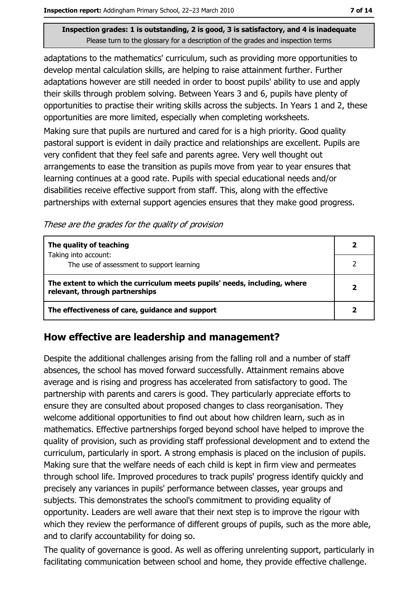adaptations to the mathematics' curriculum, such as providing more opportunities to develop mental calculation skills, are helping to raise attainment further. Further adaptations however are still needed in order to boost pupils' ability to use and apply their skills through problem solving. Between Years 3 and 6, pupils have plenty of opportunities to practise their writing skills across the subjects. In Years 1 and 2, these opportunities are more limited, especially when completing worksheets.

Making sure that pupils are nurtured and cared for is a high priority. Good quality pastoral support is evident in daily practice and relationships are excellent. Pupils are very confident that they feel safe and parents agree. Very well thought out arrangements to ease the transition as pupils move from year to year ensures that learning continues at a good rate. Pupils with special educational needs and/or disabilities receive effective support from staff. This, along with the effective partnerships with external support agencies ensures that they make good progress.

These are the grades for the quality of provision

| The quality of teaching                                                                                    |  |
|------------------------------------------------------------------------------------------------------------|--|
| Taking into account:<br>The use of assessment to support learning                                          |  |
| The extent to which the curriculum meets pupils' needs, including, where<br>relevant, through partnerships |  |
| The effectiveness of care, guidance and support                                                            |  |

#### How effective are leadership and management?

Despite the additional challenges arising from the falling roll and a number of staff absences, the school has moved forward successfully. Attainment remains above average and is rising and progress has accelerated from satisfactory to good. The partnership with parents and carers is good. They particularly appreciate efforts to ensure they are consulted about proposed changes to class reorganisation. They welcome additional opportunities to find out about how children learn, such as in mathematics. Effective partnerships forged beyond school have helped to improve the quality of provision, such as providing staff professional development and to extend the curriculum, particularly in sport. A strong emphasis is placed on the inclusion of pupils. Making sure that the welfare needs of each child is kept in firm view and permeates through school life. Improved procedures to track pupils' progress identify quickly and precisely any variances in pupils' performance between classes, year groups and subjects. This demonstrates the school's commitment to providing equality of opportunity. Leaders are well aware that their next step is to improve the rigour with which they review the performance of different groups of pupils, such as the more able, and to clarify accountability for doing so.

The quality of governance is good. As well as offering unrelenting support, particularly in facilitating communication between school and home, they provide effective challenge.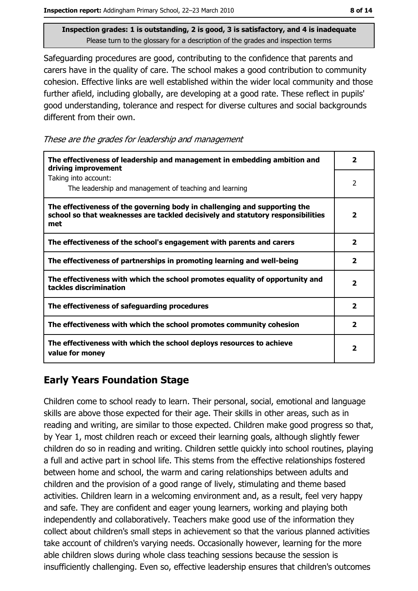Safeguarding procedures are good, contributing to the confidence that parents and carers have in the quality of care. The school makes a good contribution to community cohesion. Effective links are well established within the wider local community and those further afield, including globally, are developing at a good rate. These reflect in pupils' good understanding, tolerance and respect for diverse cultures and social backgrounds different from their own.

These are the grades for leadership and management

| The effectiveness of leadership and management in embedding ambition and<br>driving improvement                                                                     | 2                       |
|---------------------------------------------------------------------------------------------------------------------------------------------------------------------|-------------------------|
| Taking into account:<br>The leadership and management of teaching and learning                                                                                      | 2                       |
| The effectiveness of the governing body in challenging and supporting the<br>school so that weaknesses are tackled decisively and statutory responsibilities<br>met | 2                       |
| The effectiveness of the school's engagement with parents and carers                                                                                                | 2                       |
| The effectiveness of partnerships in promoting learning and well-being                                                                                              | 2                       |
| The effectiveness with which the school promotes equality of opportunity and<br>tackles discrimination                                                              | 2                       |
| The effectiveness of safeguarding procedures                                                                                                                        | 2                       |
| The effectiveness with which the school promotes community cohesion                                                                                                 | $\overline{\mathbf{2}}$ |
| The effectiveness with which the school deploys resources to achieve<br>value for money                                                                             | 2                       |

## **Early Years Foundation Stage**

Children come to school ready to learn. Their personal, social, emotional and language skills are above those expected for their age. Their skills in other areas, such as in reading and writing, are similar to those expected. Children make good progress so that, by Year 1, most children reach or exceed their learning goals, although slightly fewer children do so in reading and writing. Children settle quickly into school routines, playing a full and active part in school life. This stems from the effective relationships fostered between home and school, the warm and caring relationships between adults and children and the provision of a good range of lively, stimulating and theme based activities. Children learn in a welcoming environment and, as a result, feel very happy and safe. They are confident and eager young learners, working and playing both independently and collaboratively. Teachers make good use of the information they collect about children's small steps in achievement so that the various planned activities take account of children's varying needs. Occasionally however, learning for the more able children slows during whole class teaching sessions because the session is insufficiently challenging. Even so, effective leadership ensures that children's outcomes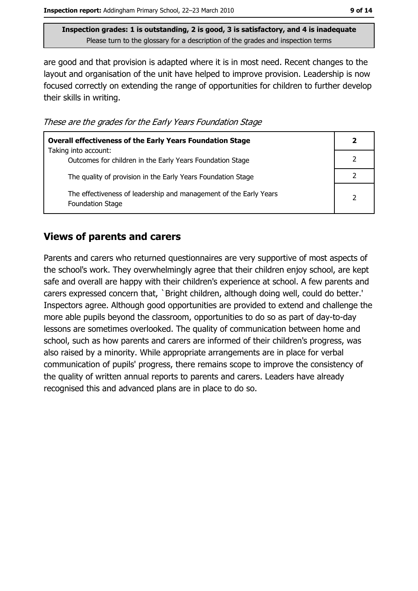are good and that provision is adapted where it is in most need. Recent changes to the layout and organisation of the unit have helped to improve provision. Leadership is now focused correctly on extending the range of opportunities for children to further develop their skills in writing.

These are the grades for the Early Years Foundation Stage

| <b>Overall effectiveness of the Early Years Foundation Stage</b><br>Taking into account:     | 2 |
|----------------------------------------------------------------------------------------------|---|
| Outcomes for children in the Early Years Foundation Stage                                    |   |
| The quality of provision in the Early Years Foundation Stage                                 |   |
| The effectiveness of leadership and management of the Early Years<br><b>Foundation Stage</b> | 2 |

#### **Views of parents and carers**

Parents and carers who returned questionnaires are very supportive of most aspects of the school's work. They overwhelmingly agree that their children enjoy school, are kept safe and overall are happy with their children's experience at school. A few parents and carers expressed concern that, `Bright children, although doing well, could do better.' Inspectors agree. Although good opportunities are provided to extend and challenge the more able pupils beyond the classroom, opportunities to do so as part of day-to-day lessons are sometimes overlooked. The quality of communication between home and school, such as how parents and carers are informed of their children's progress, was also raised by a minority. While appropriate arrangements are in place for verbal communication of pupils' progress, there remains scope to improve the consistency of the quality of written annual reports to parents and carers. Leaders have already recognised this and advanced plans are in place to do so.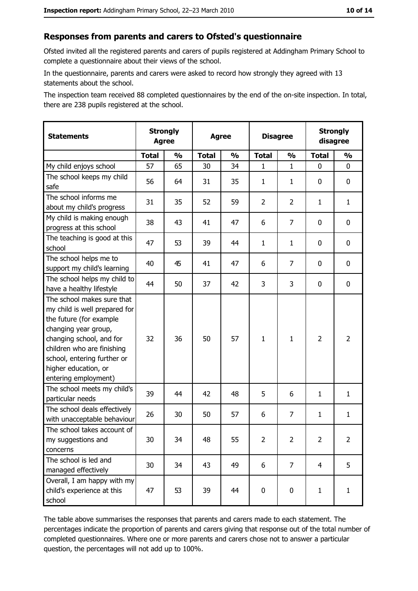#### Responses from parents and carers to Ofsted's questionnaire

Ofsted invited all the registered parents and carers of pupils registered at Addingham Primary School to complete a questionnaire about their views of the school.

In the questionnaire, parents and carers were asked to record how strongly they agreed with 13 statements about the school.

The inspection team received 88 completed questionnaires by the end of the on-site inspection. In total, there are 238 pupils registered at the school.

| <b>Statements</b>                                                                                                                                                                                                                                       | <b>Strongly</b><br><b>Agree</b> |               | <b>Agree</b> |               | <b>Disagree</b> |                | <b>Strongly</b><br>disagree |                |
|---------------------------------------------------------------------------------------------------------------------------------------------------------------------------------------------------------------------------------------------------------|---------------------------------|---------------|--------------|---------------|-----------------|----------------|-----------------------------|----------------|
|                                                                                                                                                                                                                                                         | <b>Total</b>                    | $\frac{1}{2}$ | <b>Total</b> | $\frac{0}{0}$ | <b>Total</b>    | $\frac{0}{0}$  | <b>Total</b>                | $\frac{1}{2}$  |
| My child enjoys school                                                                                                                                                                                                                                  | 57                              | 65            | 30           | 34            | $\mathbf{1}$    | $\mathbf{1}$   | 0                           | 0              |
| The school keeps my child<br>safe                                                                                                                                                                                                                       | 56                              | 64            | 31           | 35            | $\mathbf{1}$    | 1              | 0                           | 0              |
| The school informs me<br>about my child's progress                                                                                                                                                                                                      | 31                              | 35            | 52           | 59            | $\overline{2}$  | $\overline{2}$ | 1                           | $\mathbf{1}$   |
| My child is making enough<br>progress at this school                                                                                                                                                                                                    | 38                              | 43            | 41           | 47            | 6               | 7              | 0                           | 0              |
| The teaching is good at this<br>school                                                                                                                                                                                                                  | 47                              | 53            | 39           | 44            | $\mathbf{1}$    | $\mathbf{1}$   | 0                           | 0              |
| The school helps me to<br>support my child's learning                                                                                                                                                                                                   | 40                              | 45            | 41           | 47            | 6               | 7              | 0                           | 0              |
| The school helps my child to<br>have a healthy lifestyle                                                                                                                                                                                                | 44                              | 50            | 37           | 42            | 3               | 3              | 0                           | 0              |
| The school makes sure that<br>my child is well prepared for<br>the future (for example<br>changing year group,<br>changing school, and for<br>children who are finishing<br>school, entering further or<br>higher education, or<br>entering employment) | 32                              | 36            | 50           | 57            | $\mathbf{1}$    | $\mathbf{1}$   | $\overline{2}$              | $\overline{2}$ |
| The school meets my child's<br>particular needs                                                                                                                                                                                                         | 39                              | 44            | 42           | 48            | 5               | 6              | 1                           | $\mathbf{1}$   |
| The school deals effectively<br>with unacceptable behaviour                                                                                                                                                                                             | 26                              | 30            | 50           | 57            | 6               | $\overline{7}$ | 1                           | $\mathbf{1}$   |
| The school takes account of<br>my suggestions and<br>concerns                                                                                                                                                                                           | 30                              | 34            | 48           | 55            | $\overline{2}$  | 2              | $\overline{2}$              | $\overline{2}$ |
| The school is led and<br>managed effectively                                                                                                                                                                                                            | 30                              | 34            | 43           | 49            | 6               | $\overline{7}$ | $\overline{4}$              | 5              |
| Overall, I am happy with my<br>child's experience at this<br>school                                                                                                                                                                                     | 47                              | 53            | 39           | 44            | $\mathbf 0$     | 0              | $\mathbf{1}$                | $\mathbf{1}$   |

The table above summarises the responses that parents and carers made to each statement. The percentages indicate the proportion of parents and carers giving that response out of the total number of completed questionnaires. Where one or more parents and carers chose not to answer a particular question, the percentages will not add up to 100%.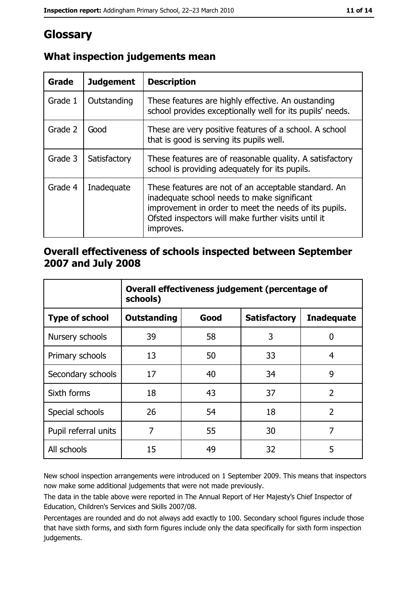# Glossary

| Grade   | <b>Judgement</b> | <b>Description</b>                                                                                                                                                                                                               |
|---------|------------------|----------------------------------------------------------------------------------------------------------------------------------------------------------------------------------------------------------------------------------|
| Grade 1 | Outstanding      | These features are highly effective. An oustanding<br>school provides exceptionally well for its pupils' needs.                                                                                                                  |
| Grade 2 | Good             | These are very positive features of a school. A school<br>that is good is serving its pupils well.                                                                                                                               |
| Grade 3 | Satisfactory     | These features are of reasonable quality. A satisfactory<br>school is providing adequately for its pupils.                                                                                                                       |
| Grade 4 | Inadequate       | These features are not of an acceptable standard. An<br>inadequate school needs to make significant<br>improvement in order to meet the needs of its pupils.<br>Ofsted inspectors will make further visits until it<br>improves. |

## What inspection judgements mean

#### Overall effectiveness of schools inspected between September 2007 and July 2008

|                       | Overall effectiveness judgement (percentage of<br>schools) |      |                     |                   |
|-----------------------|------------------------------------------------------------|------|---------------------|-------------------|
| <b>Type of school</b> | <b>Outstanding</b>                                         | Good | <b>Satisfactory</b> | <b>Inadequate</b> |
| Nursery schools       | 39                                                         | 58   | 3                   | 0                 |
| Primary schools       | 13                                                         | 50   | 33                  | 4                 |
| Secondary schools     | 17                                                         | 40   | 34                  | 9                 |
| Sixth forms           | 18                                                         | 43   | 37                  | $\overline{2}$    |
| Special schools       | 26                                                         | 54   | 18                  | $\overline{2}$    |
| Pupil referral units  | 7                                                          | 55   | 30                  | 7                 |
| All schools           | 15                                                         | 49   | 32                  | 5                 |

New school inspection arrangements were introduced on 1 September 2009. This means that inspectors now make some additional judgements that were not made previously.

The data in the table above were reported in The Annual Report of Her Majesty's Chief Inspector of Education, Children's Services and Skills 2007/08.

Percentages are rounded and do not always add exactly to 100. Secondary school figures include those that have sixth forms, and sixth form figures include only the data specifically for sixth form inspection judgements.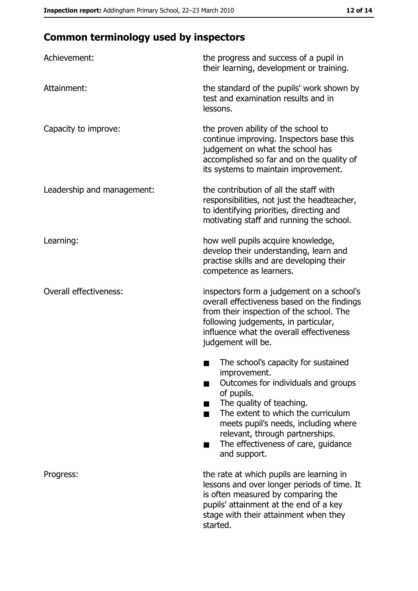# **Common terminology used by inspectors**

| Achievement:                  | the progress and success of a pupil in<br>their learning, development or training.                                                                                                                                                                                                                           |
|-------------------------------|--------------------------------------------------------------------------------------------------------------------------------------------------------------------------------------------------------------------------------------------------------------------------------------------------------------|
| Attainment:                   | the standard of the pupils' work shown by<br>test and examination results and in<br>lessons.                                                                                                                                                                                                                 |
| Capacity to improve:          | the proven ability of the school to<br>continue improving. Inspectors base this<br>judgement on what the school has<br>accomplished so far and on the quality of<br>its systems to maintain improvement.                                                                                                     |
| Leadership and management:    | the contribution of all the staff with<br>responsibilities, not just the headteacher,<br>to identifying priorities, directing and<br>motivating staff and running the school.                                                                                                                                |
| Learning:                     | how well pupils acquire knowledge,<br>develop their understanding, learn and<br>practise skills and are developing their<br>competence as learners.                                                                                                                                                          |
| <b>Overall effectiveness:</b> | inspectors form a judgement on a school's<br>overall effectiveness based on the findings<br>from their inspection of the school. The<br>following judgements, in particular,<br>influence what the overall effectiveness<br>judgement will be.                                                               |
|                               | The school's capacity for sustained<br>improvement.<br>Outcomes for individuals and groups<br>of pupils.<br>The quality of teaching.<br>The extent to which the curriculum<br>meets pupil's needs, including where<br>relevant, through partnerships.<br>The effectiveness of care, guidance<br>and support. |
| Progress:                     | the rate at which pupils are learning in<br>lessons and over longer periods of time. It<br>is often measured by comparing the<br>pupils' attainment at the end of a key<br>stage with their attainment when they<br>started.                                                                                 |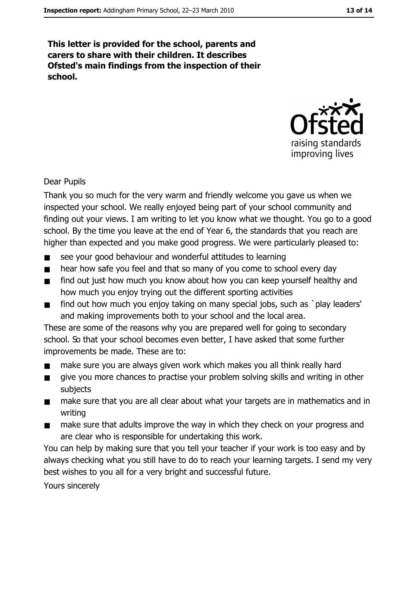This letter is provided for the school, parents and carers to share with their children. It describes Ofsted's main findings from the inspection of their school.



**Dear Pupils** 

Thank you so much for the very warm and friendly welcome you gave us when we inspected your school. We really enjoyed being part of your school community and finding out your views. I am writing to let you know what we thought. You go to a good school. By the time you leave at the end of Year 6, the standards that you reach are higher than expected and you make good progress. We were particularly pleased to:

- $\blacksquare$ see your good behaviour and wonderful attitudes to learning
- hear how safe you feel and that so many of you come to school every day
- find out just how much you know about how you can keep yourself healthy and  $\blacksquare$ how much you enjoy trying out the different sporting activities
- find out how much you enjoy taking on many special jobs, such as `play leaders'  $\blacksquare$ and making improvements both to your school and the local area.

These are some of the reasons why you are prepared well for going to secondary school. So that your school becomes even better, I have asked that some further improvements be made. These are to:

- make sure you are always given work which makes you all think really hard  $\blacksquare$
- give you more chances to practise your problem solving skills and writing in other  $\blacksquare$ subjects
- make sure that you are all clear about what your targets are in mathematics and in  $\blacksquare$ writing
- make sure that adults improve the way in which they check on your progress and  $\blacksquare$ are clear who is responsible for undertaking this work.

You can help by making sure that you tell your teacher if your work is too easy and by always checking what you still have to do to reach your learning targets. I send my very best wishes to you all for a very bright and successful future.

Yours sincerely